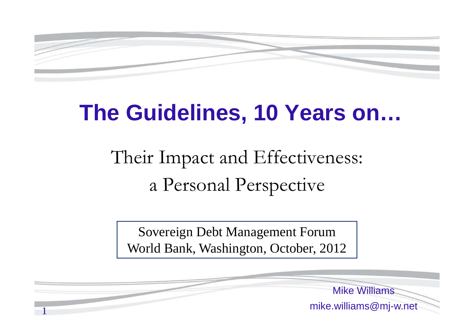

# **The Guidelines, 10 Years on…**

# Their Impact and Effectiveness: a Personal Perspective

Sovereign Debt Management Forum World Bank, Washington, October, 2012

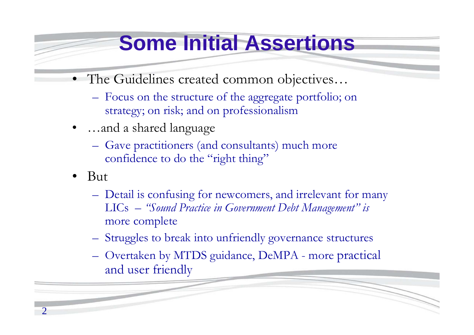### **Some Initial Assertions**

- The Guidelines created common objectives…
	- Focus on the structure of the aggregate portfolio; on strategy; on risk; and on professionalism
- • …and a shared language
	- Gave practitioners (and consultants) much more confidence to do the "right thing"
- • But
	- Detail is confusing for newcomers, and irrelevant for many LICs – *"Sound Practice in Government Debt Management" is*  more complete
	- Struggles to break into unfriendly governance structures
	- Overtaken by MTDS guidance, DeMPA more practical and user friendly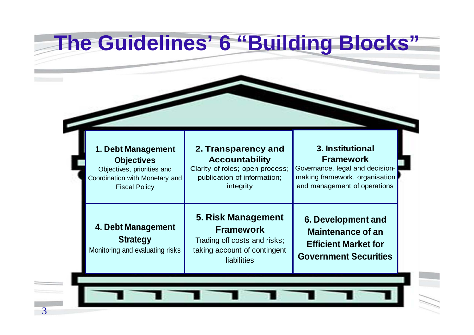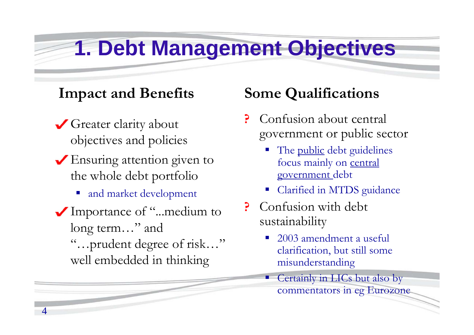### **1. Debt Management Objectives**

#### **Impact and Benefits**

- Greater clarity about objectives and policies
- Ensuring attention given to the whole debt portfolio
	- and market development
- Importance of "...medium to long term..." and "…prudent degree of risk…" well embedded in thinking

4

- Confusion about central government or public sector
	- an<br>M The public debt guidelines focus mainly on central government debt
	- Clarified in MTDS guidance
- ? Confusion with debt sustainability
	- an<br>M 2003 amendment a useful clarification, but still some misunderstanding
	- π Certainly in LICs but also by commentators in eg Eurozone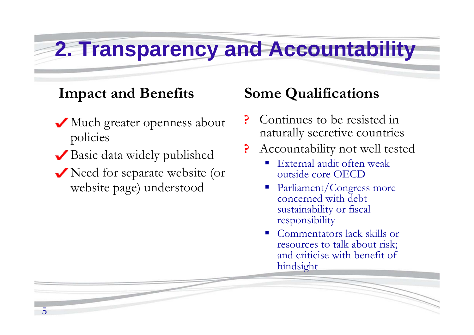### **2. Transparency and Accountability**

### **Impact and Benefits**

- Much greater openness about policies
- Basic data widely published

5

Need for separate website (or website page) understood

- Continues to be resisted in naturally secretive countries
- Accountability not well tested
	- External audit often weak outside core OECD
	- Parliament/Congress more concerned with debt sustainability or fiscal responsibility
	- a<br>M Commentators lack skills or resources to talk about risk; and criticise with benefit of hindsight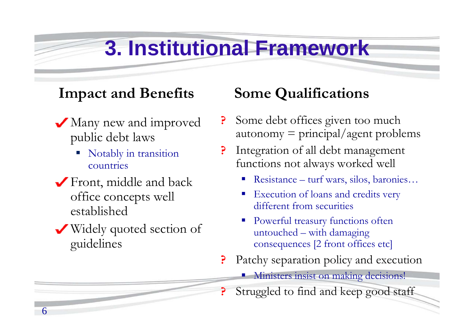# **3. Institutional Framework**

#### **Impact and Benefits**

- Many new and improved public debt laws
	- a<br>M Notably in transition countries
- Front, middle and back office concepts well established
- Widely quoted section of guidelines

6

- Some debt offices given too much 3  $autonomy = principal/agent problems$
- Integration of all debt management functions not always worked well
	- Resistance turf wars, silos, baronies…
	- a<br>M Execution of loans and credits very different from securities
	- a<br>M Powerful treasury functions often untouched – with damaging consequences [2 front offices etc]
- Patchy separation policy and execution
	- **Ministers insist on making decisions!**
	- Struggled to find and keep good staff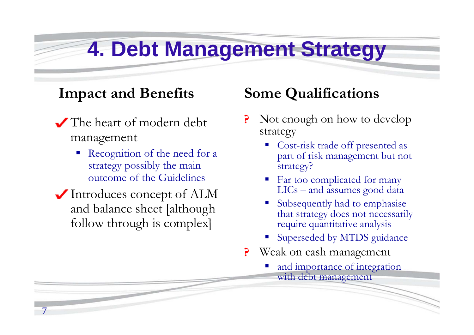### **4. Debt Management Strategy**

#### **Impact and Benefits**

- The heart of modern debt management
	- Recognition of the need for a strategy possibly the main outcome of the Guidelines
- Introduces concept of ALM and balance sheet [although follow through is complex]

7

- Not enough on how to develop strategy
	- p. Cost-risk trade off presented as part of risk management but not strategy?
	- p. Far too complicated for many LICs – and assumes good data
	- Subsequently had to emphasise that strategy does not necessarily require quantitative analysis
	- P. Superseded by MTDS guidance
- Weak on cash management P
	- P. and importance of integration with debt management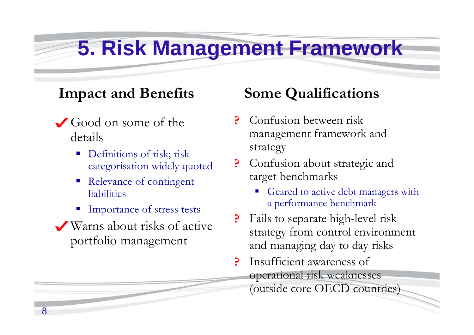### **5. Risk Management Framework**

#### **Impact and Benefits**

- Good on some of the details
	- Definitions of risk; risk categorisation widely quoted
	- Relevance of contingent liabilities
	- **Importance of stress tests**
- Warns about risks of active portfolio management

8

- Confusion between risk management framework and strategy
- ? Confusion about strategic and target benchmarks
	- Geared to active debt managers with a performance benchmark
- Fails to separate high-level risk strategy from control environment and managing day to day risks
- Insufficient awareness of P operational risk weaknesses (outside core OECD countries)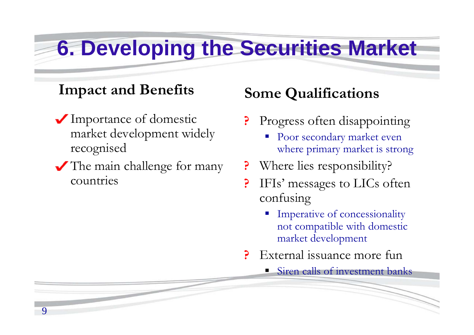## **6. Developing the Securities Market**

### **Impact and Benefits**

- Importance of domestic market development widely recognised
- The main challenge for many countries

9

- Progress often disappointing
	- Poor secondary market even where primary market is strong
- Where lies responsibility?
- IFIs' messages to LICs often P confusing
	- Imperative of concessionality not compatible with domestic market development
- External issuance more fun
	- **Siren calls of investment banks**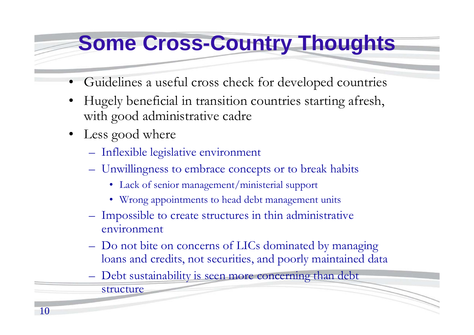### **Some Cross-Country Thoughts**

- •Guidelines a useful cross check for developed countries
- • Hugely beneficial in transition countries starting afresh, with good administrative cadre
- Less good where
	- Inflexible legislative environment
	- Unwillingness to embrace concepts or to break habits
		- Lack of senior management/ministerial support
		- Wrong appointments to head debt management units
	- Impossible to create structures in thin administrative environment
	- Do not bite on concerns of LICs dominated by managing loans and credits, not securities, and poorly maintained data
	- Debt sustainability is seen more concerning than debt structure